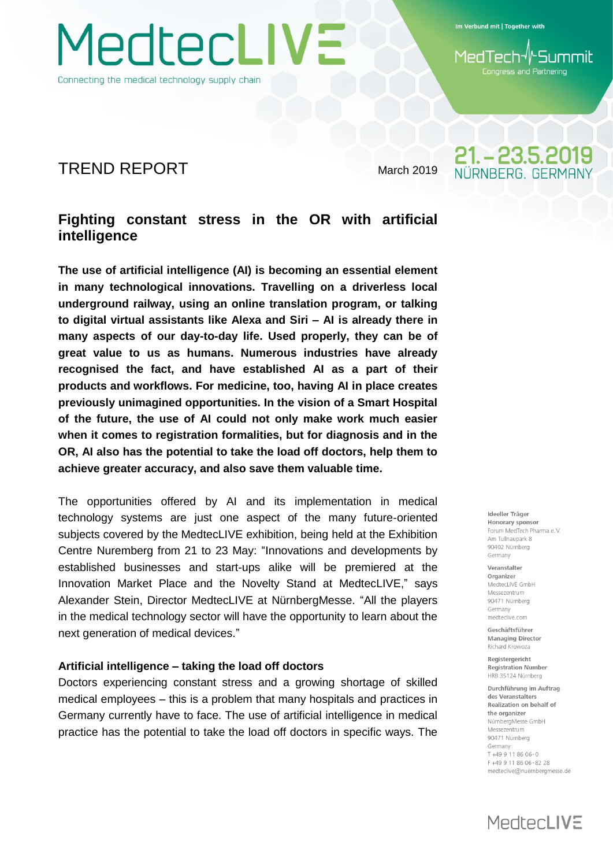Connecting the medical technology supply chain

MedtecLIVE

Im Verbund mit | Together with

-Summit 1edTech Congress and Partnering

21. - 23.5.2019 NÜRNBERG GERMAN

## TREND REPORT March 2019

## **Fighting constant stress in the OR with artificial intelligence**

**The use of artificial intelligence (AI) is becoming an essential element in many technological innovations. Travelling on a driverless local underground railway, using an online translation program, or talking to digital virtual assistants like Alexa and Siri – AI is already there in many aspects of our day-to-day life. Used properly, they can be of great value to us as humans. Numerous industries have already recognised the fact, and have established AI as a part of their products and workflows. For medicine, too, having AI in place creates previously unimagined opportunities. In the vision of a Smart Hospital of the future, the use of AI could not only make work much easier when it comes to registration formalities, but for diagnosis and in the OR, AI also has the potential to take the load off doctors, help them to achieve greater accuracy, and also save them valuable time.**

The opportunities offered by AI and its implementation in medical technology systems are just one aspect of the many future-oriented subjects covered by the MedtecLIVE exhibition, being held at the Exhibition Centre Nuremberg from 21 to 23 May: "Innovations and developments by established businesses and start-ups alike will be premiered at the Innovation Market Place and the Novelty Stand at MedtecLIVE," says Alexander Stein, Director MedtecLIVE at NürnbergMesse. "All the players in the medical technology sector will have the opportunity to learn about the next generation of medical devices."

## **Artificial intelligence – taking the load off doctors**

Doctors experiencing constant stress and a growing shortage of skilled medical employees – this is a problem that many hospitals and practices in Germany currently have to face. The use of artificial intelligence in medical practice has the potential to take the load off doctors in specific ways. The

Ideeller Träger Honorary sponsor Forum MedTech Pharma e V Am Tullnaunark 8 90402 Nürnberg Germany

Veranstalter Organizer MedtecLIVE GmbH Messezentrum 90471 Nürnberg Germany medteclive.com

Geschäftsführer **Managing Director** Richard Krowoza

Registergericht **Registration Number** HRB 35124 Nürnberg

Durchführung im Auftrag des Veranstalters Realization on behalf of the organizer NürnbergMesse GmbH Messezentrum 90471 Nürnberg Germany T+49 9 11 86 06-0 F+49 9 11 86 06-82 28 medteclive@nuernbergmesse.de

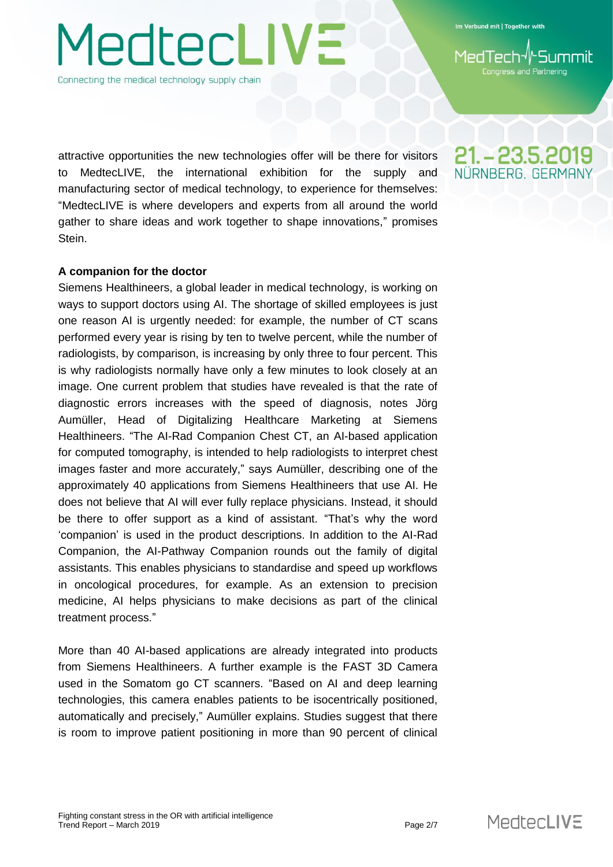ss and Partnering

Connecting the medical technology supply chain

**JedtecLIVE** 

attractive opportunities the new technologies offer will be there for visitors to MedtecLIVE, the international exhibition for the supply and manufacturing sector of medical technology, to experience for themselves: "MedtecLIVE is where developers and experts from all around the world gather to share ideas and work together to shape innovations," promises Stein.

#### **A companion for the doctor**

Siemens Healthineers, a global leader in medical technology, is working on ways to support doctors using AI. The shortage of skilled employees is just one reason AI is urgently needed: for example, the number of CT scans performed every year is rising by ten to twelve percent, while the number of radiologists, by comparison, is increasing by only three to four percent. This is why radiologists normally have only a few minutes to look closely at an image. One current problem that studies have revealed is that the rate of diagnostic errors increases with the speed of diagnosis, notes Jörg Aumüller, Head of Digitalizing Healthcare Marketing at Siemens Healthineers. "The AI-Rad Companion Chest CT, an AI-based application for computed tomography, is intended to help radiologists to interpret chest images faster and more accurately," says Aumüller, describing one of the approximately 40 applications from Siemens Healthineers that use AI. He does not believe that AI will ever fully replace physicians. Instead, it should be there to offer support as a kind of assistant. "That's why the word 'companion' is used in the product descriptions. In addition to the AI-Rad Companion, the AI-Pathway Companion rounds out the family of digital assistants. This enables physicians to standardise and speed up workflows in oncological procedures, for example. As an extension to precision medicine, AI helps physicians to make decisions as part of the clinical treatment process."

More than 40 AI-based applications are already integrated into products from Siemens Healthineers. A further example is the FAST 3D Camera used in the Somatom go CT scanners. "Based on AI and deep learning technologies, this camera enables patients to be isocentrically positioned, automatically and precisely," Aumüller explains. Studies suggest that there is room to improve patient positioning in more than 90 percent of clinical

21. - 23.5.2019 NÜRNBERG, GERMAI

**MedtecLIVE**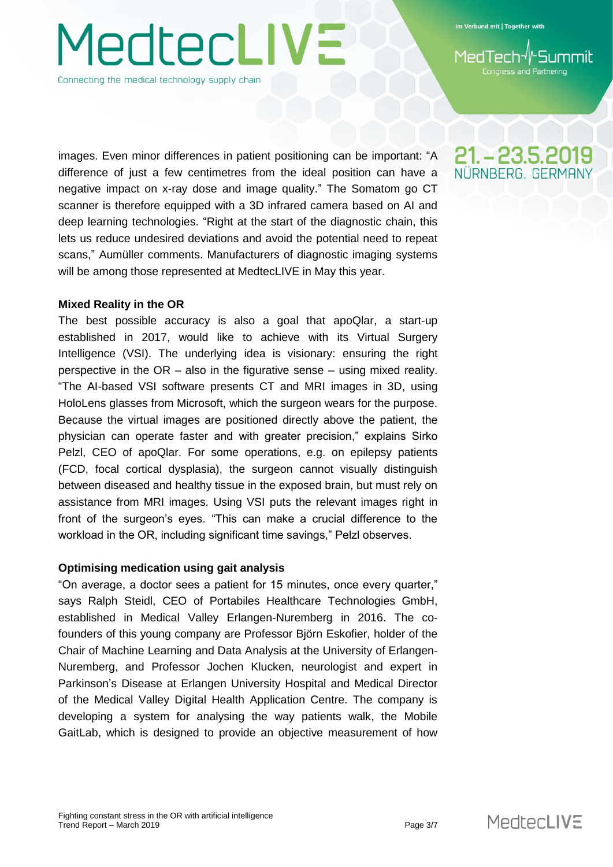# **JedtecLIVE** Connecting the medical technology supply chain

images. Even minor differences in patient positioning can be important: "A difference of just a few centimetres from the ideal position can have a negative impact on x-ray dose and image quality." The Somatom go CT scanner is therefore equipped with a 3D infrared camera based on AI and deep learning technologies. "Right at the start of the diagnostic chain, this lets us reduce undesired deviations and avoid the potential need to repeat scans," Aumüller comments. Manufacturers of diagnostic imaging systems will be among those represented at MedtecLIVE in May this year.

## **Mixed Reality in the OR**

The best possible accuracy is also a goal that apoQlar, a start-up established in 2017, would like to achieve with its Virtual Surgery Intelligence (VSI). The underlying idea is visionary: ensuring the right perspective in the OR – also in the figurative sense – using mixed reality. "The AI-based VSI software presents CT and MRI images in 3D, using HoloLens glasses from Microsoft, which the surgeon wears for the purpose. Because the virtual images are positioned directly above the patient, the physician can operate faster and with greater precision," explains Sirko Pelzl, CEO of apoQlar. For some operations, e.g. on epilepsy patients (FCD, focal cortical dysplasia), the surgeon cannot visually distinguish between diseased and healthy tissue in the exposed brain, but must rely on assistance from MRI images. Using VSI puts the relevant images right in front of the surgeon's eyes. "This can make a crucial difference to the workload in the OR, including significant time savings," Pelzl observes.

## **Optimising medication using gait analysis**

"On average, a doctor sees a patient for 15 minutes, once every quarter," says Ralph Steidl, CEO of Portabiles Healthcare Technologies GmbH, established in Medical Valley Erlangen-Nuremberg in 2016. The cofounders of this young company are Professor Björn Eskofier, holder of the Chair of Machine Learning and Data Analysis at the University of Erlangen-Nuremberg, and Professor Jochen Klucken, neurologist and expert in Parkinson's Disease at Erlangen University Hospital and Medical Director of the Medical Valley Digital Health Application Centre. The company is developing a system for analysing the way patients walk, the Mobile GaitLab, which is designed to provide an objective measurement of how



**iss and Partnering** 

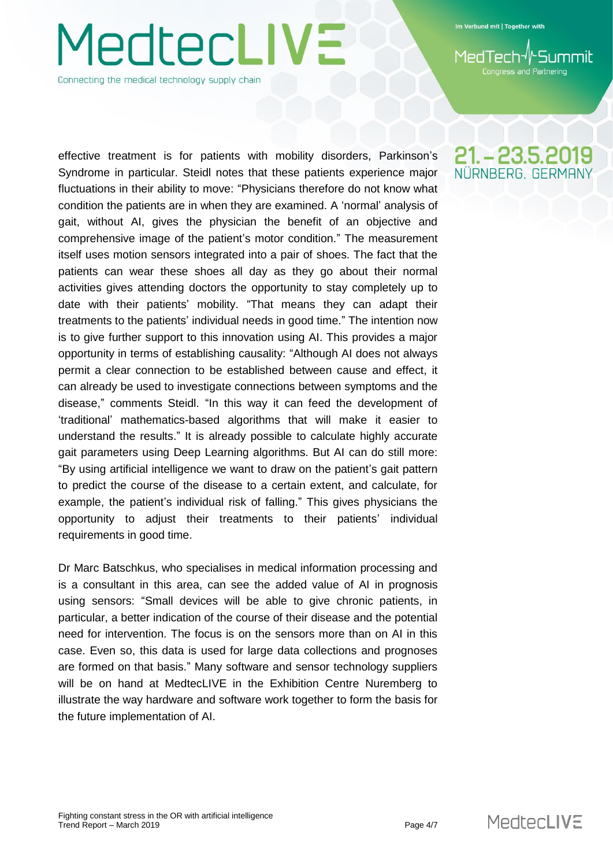## **MedtecLIVE** Connecting the medical technology supply chain

effective treatment is for patients with mobility disorders, Parkinson's Syndrome in particular. Steidl notes that these patients experience major fluctuations in their ability to move: "Physicians therefore do not know what condition the patients are in when they are examined. A 'normal' analysis of gait, without AI, gives the physician the benefit of an objective and comprehensive image of the patient's motor condition." The measurement itself uses motion sensors integrated into a pair of shoes. The fact that the patients can wear these shoes all day as they go about their normal activities gives attending doctors the opportunity to stay completely up to date with their patients' mobility. "That means they can adapt their treatments to the patients' individual needs in good time." The intention now is to give further support to this innovation using AI. This provides a major opportunity in terms of establishing causality: "Although AI does not always permit a clear connection to be established between cause and effect, it can already be used to investigate connections between symptoms and the disease," comments Steidl. "In this way it can feed the development of 'traditional' mathematics-based algorithms that will make it easier to understand the results." It is already possible to calculate highly accurate gait parameters using Deep Learning algorithms. But AI can do still more: "By using artificial intelligence we want to draw on the patient's gait pattern to predict the course of the disease to a certain extent, and calculate, for example, the patient's individual risk of falling." This gives physicians the opportunity to adjust their treatments to their patients' individual requirements in good time.

Dr Marc Batschkus, who specialises in medical information processing and is a consultant in this area, can see the added value of AI in prognosis using sensors: "Small devices will be able to give chronic patients, in particular, a better indication of the course of their disease and the potential need for intervention. The focus is on the sensors more than on AI in this case. Even so, this data is used for large data collections and prognoses are formed on that basis." Many software and sensor technology suppliers will be on hand at MedtecLIVE in the Exhibition Centre Nuremberg to illustrate the way hardware and software work together to form the basis for the future implementation of AI.

## 21. - 23.5.2019 NÜRNBERG, GERMAN

Congress and Partnering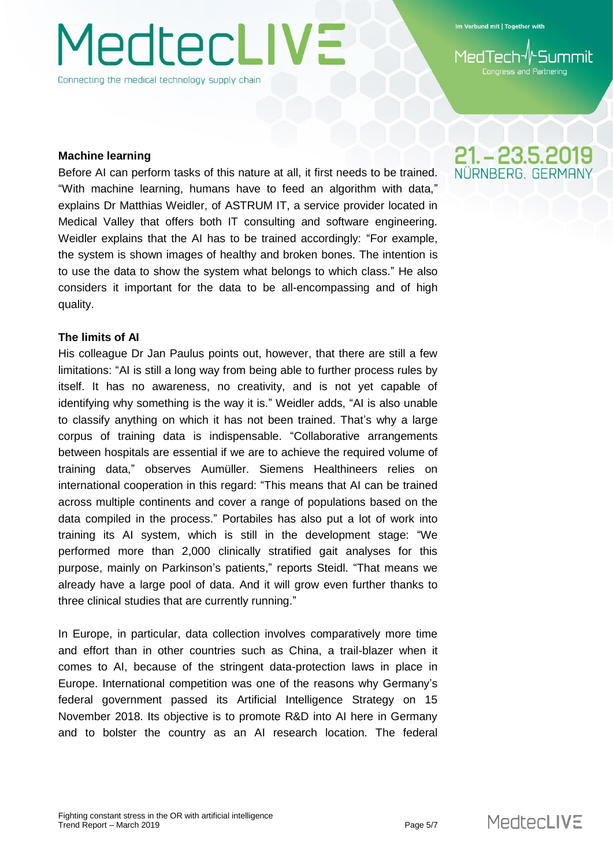# **JedtecLIVE**

Connecting the medical technology supply chain

Im Verbund mit | Together with

**iss and Partnering** 

## **Machine learning**

Before AI can perform tasks of this nature at all, it first needs to be trained. "With machine learning, humans have to feed an algorithm with data," explains Dr Matthias Weidler, of ASTRUM IT, a service provider located in Medical Valley that offers both IT consulting and software engineering. Weidler explains that the AI has to be trained accordingly: "For example, the system is shown images of healthy and broken bones. The intention is to use the data to show the system what belongs to which class." He also considers it important for the data to be all-encompassing and of high quality.

## **The limits of AI**

His colleague Dr Jan Paulus points out, however, that there are still a few limitations: "AI is still a long way from being able to further process rules by itself. It has no awareness, no creativity, and is not yet capable of identifying why something is the way it is." Weidler adds, "AI is also unable to classify anything on which it has not been trained. That's why a large corpus of training data is indispensable. "Collaborative arrangements between hospitals are essential if we are to achieve the required volume of training data," observes Aumüller. Siemens Healthineers relies on international cooperation in this regard: "This means that AI can be trained across multiple continents and cover a range of populations based on the data compiled in the process." Portabiles has also put a lot of work into training its AI system, which is still in the development stage: "We performed more than 2,000 clinically stratified gait analyses for this purpose, mainly on Parkinson's patients," reports Steidl. "That means we already have a large pool of data. And it will grow even further thanks to three clinical studies that are currently running."

In Europe, in particular, data collection involves comparatively more time and effort than in other countries such as China, a trail-blazer when it comes to AI, because of the stringent data-protection laws in place in Europe. International competition was one of the reasons why Germany's federal government passed its Artificial Intelligence Strategy on 15 November 2018. Its objective is to promote R&D into AI here in Germany and to bolster the country as an AI research location. The federal

21. - 23.5.2019 NÜRNBERG GERMAN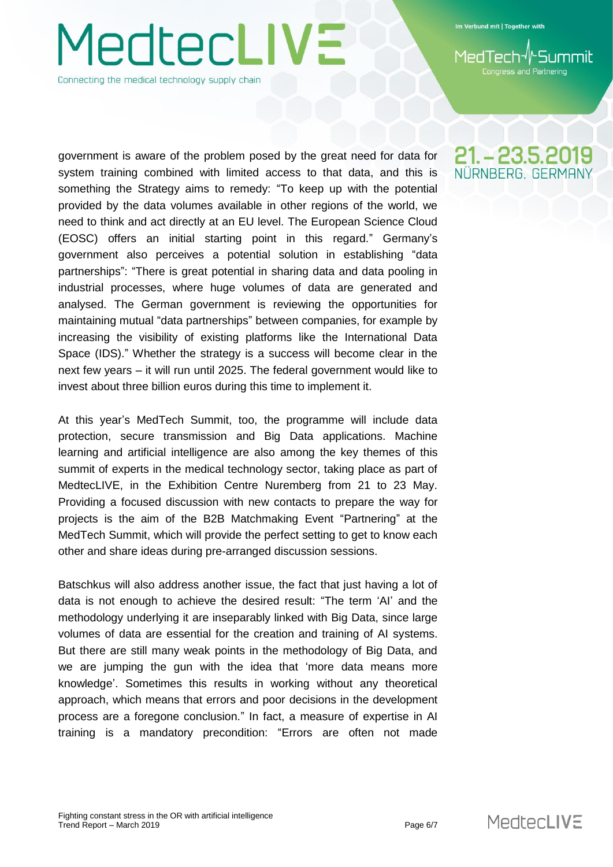# **JedtecLIVE** Connecting the medical technology supply chain

government is aware of the problem posed by the great need for data for system training combined with limited access to that data, and this is something the Strategy aims to remedy: "To keep up with the potential provided by the data volumes available in other regions of the world, we need to think and act directly at an EU level. The European Science Cloud (EOSC) offers an initial starting point in this regard." Germany's government also perceives a potential solution in establishing "data partnerships": "There is great potential in sharing data and data pooling in industrial processes, where huge volumes of data are generated and analysed. The German government is reviewing the opportunities for maintaining mutual "data partnerships" between companies, for example by increasing the visibility of existing platforms like the International Data Space (IDS)." Whether the strategy is a success will become clear in the next few years – it will run until 2025. The federal government would like to invest about three billion euros during this time to implement it.

At this year's MedTech Summit, too, the programme will include data protection, secure transmission and Big Data applications. Machine learning and artificial intelligence are also among the key themes of this summit of experts in the medical technology sector, taking place as part of MedtecLIVE, in the Exhibition Centre Nuremberg from 21 to 23 May. Providing a focused discussion with new contacts to prepare the way for projects is the aim of the B2B Matchmaking Event "Partnering" at the MedTech Summit, which will provide the perfect setting to get to know each other and share ideas during pre-arranged discussion sessions.

Batschkus will also address another issue, the fact that just having a lot of data is not enough to achieve the desired result: "The term 'AI' and the methodology underlying it are inseparably linked with Big Data, since large volumes of data are essential for the creation and training of AI systems. But there are still many weak points in the methodology of Big Data, and we are jumping the gun with the idea that 'more data means more knowledge'. Sometimes this results in working without any theoretical approach, which means that errors and poor decisions in the development process are a foregone conclusion." In fact, a measure of expertise in AI training is a mandatory precondition: "Errors are often not made

## 21. - 23.5.2019 NÜRNBERG, GERMAN

**iss and Partnering**